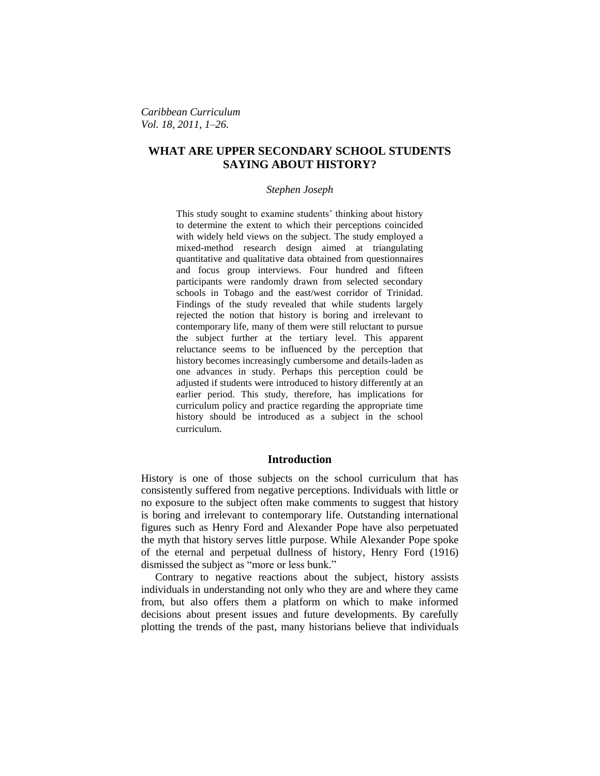*Caribbean Curriculum Vol. 18, 2011, 1–26.*

# **WHAT ARE UPPER SECONDARY SCHOOL STUDENTS SAYING ABOUT HISTORY?**

#### *Stephen Joseph*

This study sought to examine students' thinking about history to determine the extent to which their perceptions coincided with widely held views on the subject. The study employed a mixed-method research design aimed at triangulating quantitative and qualitative data obtained from questionnaires and focus group interviews. Four hundred and fifteen participants were randomly drawn from selected secondary schools in Tobago and the east/west corridor of Trinidad. Findings of the study revealed that while students largely rejected the notion that history is boring and irrelevant to contemporary life, many of them were still reluctant to pursue the subject further at the tertiary level. This apparent reluctance seems to be influenced by the perception that history becomes increasingly cumbersome and details-laden as one advances in study. Perhaps this perception could be adjusted if students were introduced to history differently at an earlier period. This study, therefore, has implications for curriculum policy and practice regarding the appropriate time history should be introduced as a subject in the school curriculum.

## **Introduction**

History is one of those subjects on the school curriculum that has consistently suffered from negative perceptions. Individuals with little or no exposure to the subject often make comments to suggest that history is boring and irrelevant to contemporary life. Outstanding international figures such as Henry Ford and Alexander Pope have also perpetuated the myth that history serves little purpose. While Alexander Pope spoke of the eternal and perpetual dullness of history, Henry Ford (1916) dismissed the subject as "more or less bunk."

Contrary to negative reactions about the subject, history assists individuals in understanding not only who they are and where they came from, but also offers them a platform on which to make informed decisions about present issues and future developments. By carefully plotting the trends of the past, many historians believe that individuals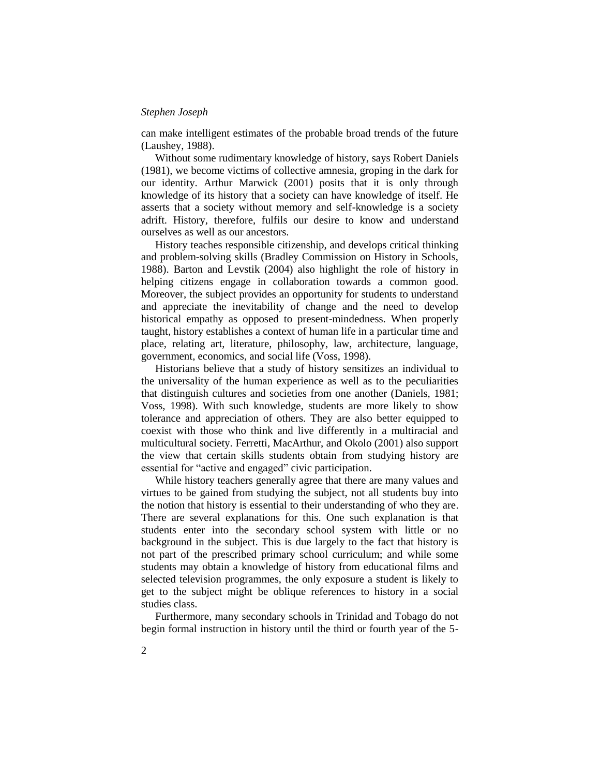can make intelligent estimates of the probable broad trends of the future (Laushey, 1988).

Without some rudimentary knowledge of history, says Robert Daniels (1981), we become victims of collective amnesia, groping in the dark for our identity. Arthur Marwick (2001) posits that it is only through knowledge of its history that a society can have knowledge of itself. He asserts that a society without memory and self-knowledge is a society adrift. History, therefore, fulfils our desire to know and understand ourselves as well as our ancestors.

History teaches responsible citizenship, and develops critical thinking and problem-solving skills (Bradley Commission on History in Schools, 1988). Barton and Levstik (2004) also highlight the role of history in helping citizens engage in collaboration towards a common good. Moreover, the subject provides an opportunity for students to understand and appreciate the inevitability of change and the need to develop historical empathy as opposed to present-mindedness. When properly taught, history establishes a context of human life in a particular time and place, relating art, literature, philosophy, law, architecture, language, government, economics, and social life (Voss, 1998).

Historians believe that a study of history sensitizes an individual to the universality of the human experience as well as to the peculiarities that distinguish cultures and societies from one another (Daniels, 1981; Voss, 1998). With such knowledge, students are more likely to show tolerance and appreciation of others. They are also better equipped to coexist with those who think and live differently in a multiracial and multicultural society. Ferretti, MacArthur, and Okolo (2001) also support the view that certain skills students obtain from studying history are essential for "active and engaged" civic participation.

While history teachers generally agree that there are many values and virtues to be gained from studying the subject, not all students buy into the notion that history is essential to their understanding of who they are. There are several explanations for this. One such explanation is that students enter into the secondary school system with little or no background in the subject. This is due largely to the fact that history is not part of the prescribed primary school curriculum; and while some students may obtain a knowledge of history from educational films and selected television programmes, the only exposure a student is likely to get to the subject might be oblique references to history in a social studies class.

Furthermore, many secondary schools in Trinidad and Tobago do not begin formal instruction in history until the third or fourth year of the 5-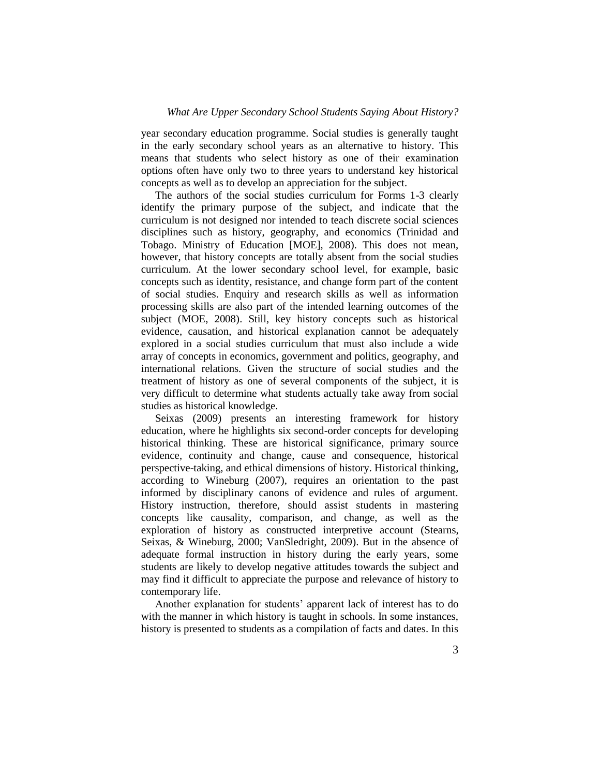year secondary education programme. Social studies is generally taught in the early secondary school years as an alternative to history. This means that students who select history as one of their examination options often have only two to three years to understand key historical concepts as well as to develop an appreciation for the subject.

The authors of the social studies curriculum for Forms 1-3 clearly identify the primary purpose of the subject, and indicate that the curriculum is not designed nor intended to teach discrete social sciences disciplines such as history, geography, and economics (Trinidad and Tobago. Ministry of Education [MOE], 2008). This does not mean, however, that history concepts are totally absent from the social studies curriculum. At the lower secondary school level, for example, basic concepts such as identity, resistance, and change form part of the content of social studies. Enquiry and research skills as well as information processing skills are also part of the intended learning outcomes of the subject (MOE, 2008). Still, key history concepts such as historical evidence, causation, and historical explanation cannot be adequately explored in a social studies curriculum that must also include a wide array of concepts in economics, government and politics, geography, and international relations. Given the structure of social studies and the treatment of history as one of several components of the subject, it is very difficult to determine what students actually take away from social studies as historical knowledge.

Seixas (2009) presents an interesting framework for history education, where he highlights six second-order concepts for developing historical thinking. These are historical significance, primary source evidence, continuity and change, cause and consequence, historical perspective-taking, and ethical dimensions of history. Historical thinking, according to Wineburg (2007), requires an orientation to the past informed by disciplinary canons of evidence and rules of argument. History instruction, therefore, should assist students in mastering concepts like causality, comparison, and change, as well as the exploration of history as constructed interpretive account (Stearns, Seixas, & Wineburg, 2000; VanSledright, 2009). But in the absence of adequate formal instruction in history during the early years, some students are likely to develop negative attitudes towards the subject and may find it difficult to appreciate the purpose and relevance of history to contemporary life.

Another explanation for students' apparent lack of interest has to do with the manner in which history is taught in schools. In some instances, history is presented to students as a compilation of facts and dates. In this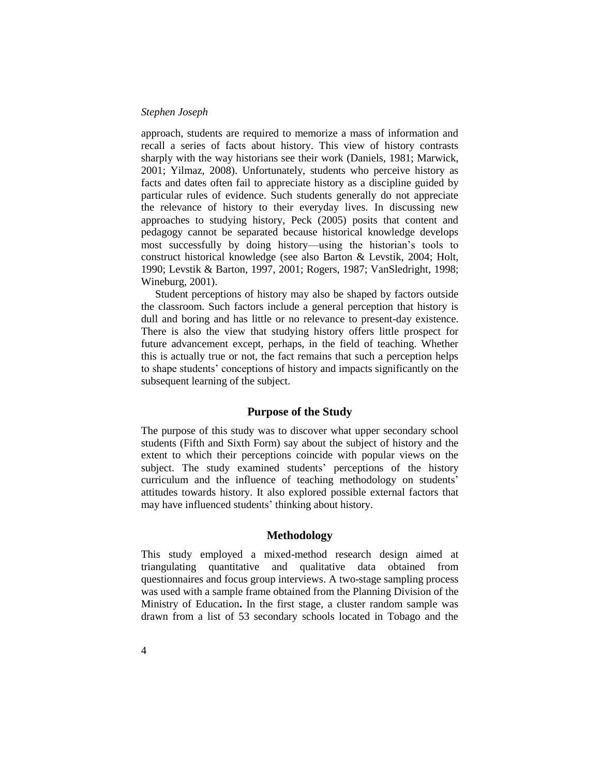approach, students are required to memorize a mass of information and recall a series of facts about history. This view of history contrasts sharply with the way historians see their work (Daniels, 1981; Marwick, 2001; Yilmaz, 2008). Unfortunately, students who perceive history as facts and dates often fail to appreciate history as a discipline guided by particular rules of evidence. Such students generally do not appreciate the relevance of history to their everyday lives. In discussing new approaches to studying history, Peck (2005) posits that content and pedagogy cannot be separated because historical knowledge develops most successfully by doing history—using the historian's tools to construct historical knowledge (see also Barton & Levstik, 2004; Holt, 1990; Levstik & Barton, 1997, 2001; Rogers, 1987; VanSledright, 1998; Wineburg, 2001).

Student perceptions of history may also be shaped by factors outside the classroom. Such factors include a general perception that history is dull and boring and has little or no relevance to present-day existence. There is also the view that studying history offers little prospect for future advancement except, perhaps, in the field of teaching. Whether this is actually true or not, the fact remains that such a perception helps to shape students' conceptions of history and impacts significantly on the subsequent learning of the subject.

# **Purpose of the Study**

The purpose of this study was to discover what upper secondary school students (Fifth and Sixth Form) say about the subject of history and the extent to which their perceptions coincide with popular views on the subject. The study examined students' perceptions of the history curriculum and the influence of teaching methodology on students' attitudes towards history. It also explored possible external factors that may have influenced students' thinking about history.

# **Methodology**

This study employed a mixed-method research design aimed at triangulating quantitative and qualitative data obtained from questionnaires and focus group interviews. A two-stage sampling process was used with a sample frame obtained from the Planning Division of the Ministry of Education**.** In the first stage, a cluster random sample was drawn from a list of 53 secondary schools located in Tobago and the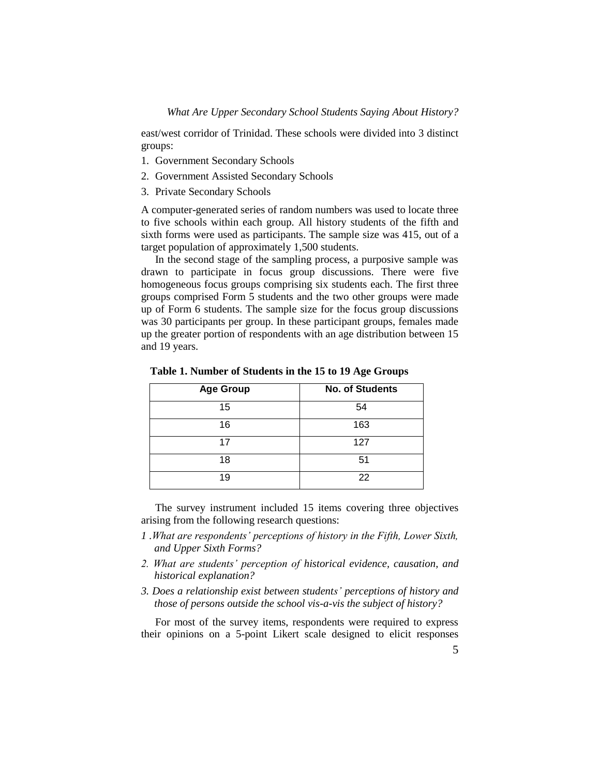east/west corridor of Trinidad. These schools were divided into 3 distinct groups:

- 1. Government Secondary Schools
- 2. Government Assisted Secondary Schools
- 3. Private Secondary Schools

A computer-generated series of random numbers was used to locate three to five schools within each group. All history students of the fifth and sixth forms were used as participants. The sample size was 415, out of a target population of approximately 1,500 students.

In the second stage of the sampling process, a purposive sample was drawn to participate in focus group discussions. There were five homogeneous focus groups comprising six students each. The first three groups comprised Form 5 students and the two other groups were made up of Form 6 students. The sample size for the focus group discussions was 30 participants per group. In these participant groups, females made up the greater portion of respondents with an age distribution between 15 and 19 years.

| <b>Age Group</b> | <b>No. of Students</b> |
|------------------|------------------------|
| 15               | 54                     |
| 16               | 163                    |
| 17               | 127                    |
| 18               | 51                     |
| 19               | 22                     |

**Table 1. Number of Students in the 15 to 19 Age Groups**

The survey instrument included 15 items covering three objectives arising from the following research questions:

- *1 .What are respondents' perceptions of history in the Fifth, Lower Sixth, and Upper Sixth Forms?*
- *2. What are students' perception of historical evidence, causation, and historical explanation?*
- *3. Does a relationship exist between students' perceptions of history and those of persons outside the school vis-a-vis the subject of history?*

For most of the survey items, respondents were required to express their opinions on a 5-point Likert scale designed to elicit responses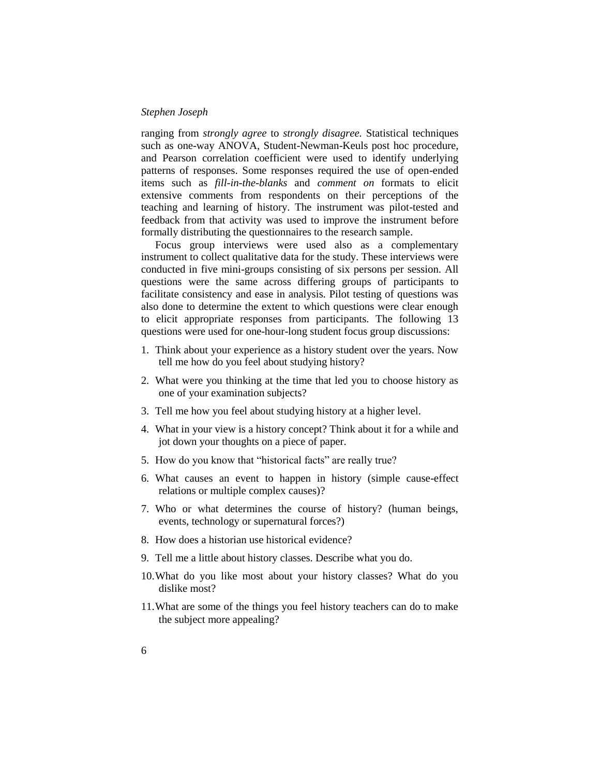ranging from *strongly agree* to *strongly disagree.* Statistical techniques such as one-way ANOVA, Student-Newman-Keuls post hoc procedure, and Pearson correlation coefficient were used to identify underlying patterns of responses. Some responses required the use of open-ended items such as *fill-in-the-blanks* and *comment on* formats to elicit extensive comments from respondents on their perceptions of the teaching and learning of history. The instrument was pilot-tested and feedback from that activity was used to improve the instrument before formally distributing the questionnaires to the research sample.

Focus group interviews were used also as a complementary instrument to collect qualitative data for the study. These interviews were conducted in five mini-groups consisting of six persons per session. All questions were the same across differing groups of participants to facilitate consistency and ease in analysis. Pilot testing of questions was also done to determine the extent to which questions were clear enough to elicit appropriate responses from participants. The following 13 questions were used for one-hour-long student focus group discussions:

- 1. Think about your experience as a history student over the years. Now tell me how do you feel about studying history?
- 2. What were you thinking at the time that led you to choose history as one of your examination subjects?
- 3. Tell me how you feel about studying history at a higher level.
- 4. What in your view is a history concept? Think about it for a while and jot down your thoughts on a piece of paper.
- 5. How do you know that "historical facts" are really true?
- 6. What causes an event to happen in history (simple cause-effect relations or multiple complex causes)?
- 7. Who or what determines the course of history? (human beings, events, technology or supernatural forces?)
- 8. How does a historian use historical evidence?
- 9. Tell me a little about history classes. Describe what you do.
- 10.What do you like most about your history classes? What do you dislike most?
- 11.What are some of the things you feel history teachers can do to make the subject more appealing?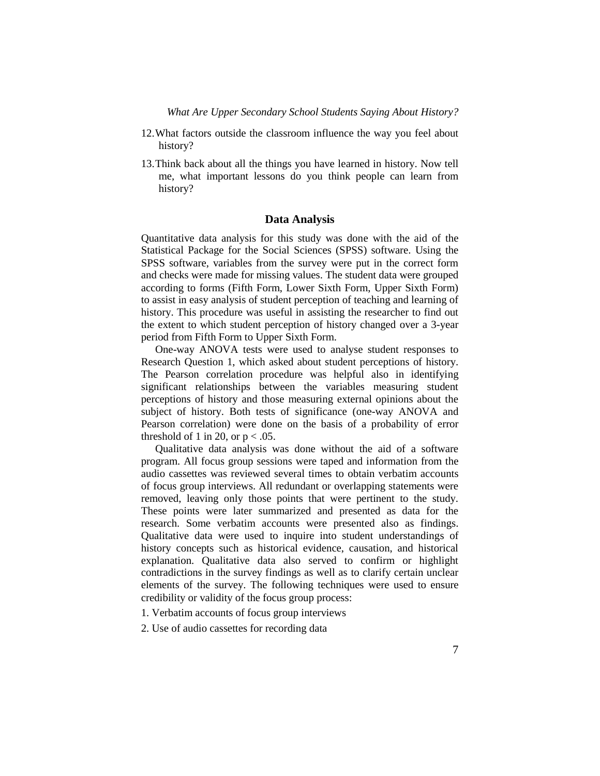- 12.What factors outside the classroom influence the way you feel about history?
- 13.Think back about all the things you have learned in history. Now tell me, what important lessons do you think people can learn from history?

### **Data Analysis**

Quantitative data analysis for this study was done with the aid of the Statistical Package for the Social Sciences (SPSS) software. Using the SPSS software, variables from the survey were put in the correct form and checks were made for missing values. The student data were grouped according to forms (Fifth Form, Lower Sixth Form, Upper Sixth Form) to assist in easy analysis of student perception of teaching and learning of history. This procedure was useful in assisting the researcher to find out the extent to which student perception of history changed over a 3-year period from Fifth Form to Upper Sixth Form.

One-way ANOVA tests were used to analyse student responses to Research Question 1, which asked about student perceptions of history. The Pearson correlation procedure was helpful also in identifying significant relationships between the variables measuring student perceptions of history and those measuring external opinions about the subject of history. Both tests of significance (one-way ANOVA and Pearson correlation) were done on the basis of a probability of error threshold of 1 in 20, or  $p < .05$ .

Qualitative data analysis was done without the aid of a software program. All focus group sessions were taped and information from the audio cassettes was reviewed several times to obtain verbatim accounts of focus group interviews. All redundant or overlapping statements were removed, leaving only those points that were pertinent to the study. These points were later summarized and presented as data for the research. Some verbatim accounts were presented also as findings. Qualitative data were used to inquire into student understandings of history concepts such as historical evidence, causation, and historical explanation. Qualitative data also served to confirm or highlight contradictions in the survey findings as well as to clarify certain unclear elements of the survey. The following techniques were used to ensure credibility or validity of the focus group process:

1. Verbatim accounts of focus group interviews

2. Use of audio cassettes for recording data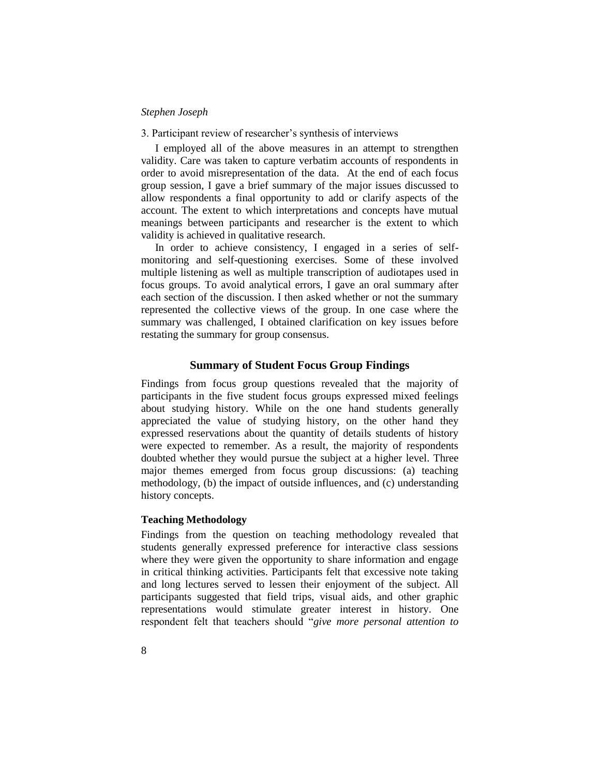#### 3. Participant review of researcher's synthesis of interviews

I employed all of the above measures in an attempt to strengthen validity. Care was taken to capture verbatim accounts of respondents in order to avoid misrepresentation of the data. At the end of each focus group session, I gave a brief summary of the major issues discussed to allow respondents a final opportunity to add or clarify aspects of the account. The extent to which interpretations and concepts have mutual meanings between participants and researcher is the extent to which validity is achieved in qualitative research.

In order to achieve consistency, I engaged in a series of selfmonitoring and self-questioning exercises. Some of these involved multiple listening as well as multiple transcription of audiotapes used in focus groups. To avoid analytical errors, I gave an oral summary after each section of the discussion. I then asked whether or not the summary represented the collective views of the group. In one case where the summary was challenged, I obtained clarification on key issues before restating the summary for group consensus.

#### **Summary of Student Focus Group Findings**

Findings from focus group questions revealed that the majority of participants in the five student focus groups expressed mixed feelings about studying history. While on the one hand students generally appreciated the value of studying history, on the other hand they expressed reservations about the quantity of details students of history were expected to remember. As a result, the majority of respondents doubted whether they would pursue the subject at a higher level. Three major themes emerged from focus group discussions: (a) teaching methodology, (b) the impact of outside influences, and (c) understanding history concepts.

#### **Teaching Methodology**

Findings from the question on teaching methodology revealed that students generally expressed preference for interactive class sessions where they were given the opportunity to share information and engage in critical thinking activities. Participants felt that excessive note taking and long lectures served to lessen their enjoyment of the subject. All participants suggested that field trips, visual aids, and other graphic representations would stimulate greater interest in history. One respondent felt that teachers should "give more personal attention to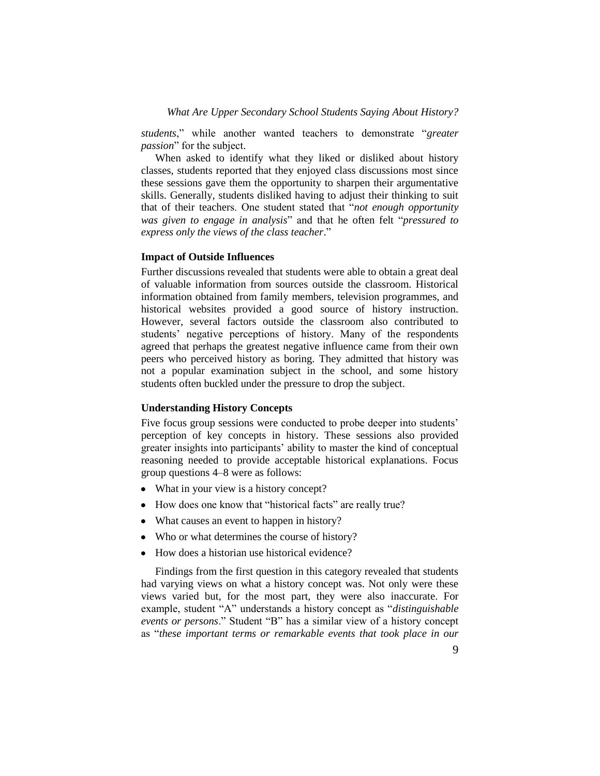*students*," while another wanted teachers to demonstrate "*greater passion*" for the subject.

When asked to identify what they liked or disliked about history classes, students reported that they enjoyed class discussions most since these sessions gave them the opportunity to sharpen their argumentative skills. Generally, students disliked having to adjust their thinking to suit that of their teachers. One student stated that "not enough opportunity *was given to engage in analysis*‖ and that he often felt ―*pressured to*  express only the views of the class teacher."

# **Impact of Outside Influences**

Further discussions revealed that students were able to obtain a great deal of valuable information from sources outside the classroom. Historical information obtained from family members, television programmes, and historical websites provided a good source of history instruction. However, several factors outside the classroom also contributed to students' negative perceptions of history. Many of the respondents agreed that perhaps the greatest negative influence came from their own peers who perceived history as boring. They admitted that history was not a popular examination subject in the school, and some history students often buckled under the pressure to drop the subject.

#### **Understanding History Concepts**

Five focus group sessions were conducted to probe deeper into students' perception of key concepts in history. These sessions also provided greater insights into participants' ability to master the kind of conceptual reasoning needed to provide acceptable historical explanations. Focus group questions 4–8 were as follows:

- What in your view is a history concept?
- How does one know that "historical facts" are really true?
- What causes an event to happen in history?
- Who or what determines the course of history?
- How does a historian use historical evidence?

Findings from the first question in this category revealed that students had varying views on what a history concept was. Not only were these views varied but, for the most part, they were also inaccurate. For example, student "A" understands a history concept as "distinguishable *events or persons.*" Student "B" has a similar view of a history concept as ―*these important terms or remarkable events that took place in our*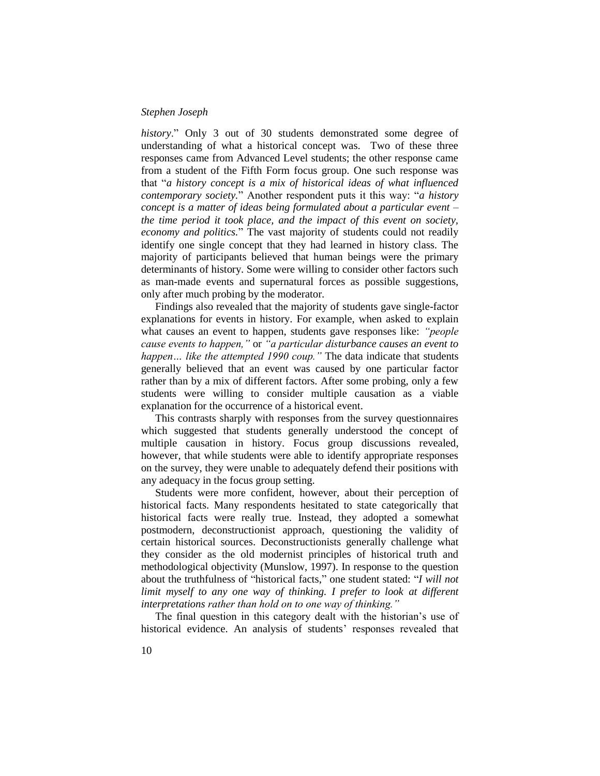history." Only 3 out of 30 students demonstrated some degree of understanding of what a historical concept was. Two of these three responses came from Advanced Level students; the other response came from a student of the Fifth Form focus group. One such response was that "*a history concept is a mix of historical ideas of what influenced contemporary society.*" Another respondent puts it this way: "*a history concept is a matter of ideas being formulated about a particular event – the time period it took place, and the impact of this event on society, economy and politics.*‖ The vast majority of students could not readily identify one single concept that they had learned in history class. The majority of participants believed that human beings were the primary determinants of history. Some were willing to consider other factors such as man-made events and supernatural forces as possible suggestions, only after much probing by the moderator.

Findings also revealed that the majority of students gave single-factor explanations for events in history. For example, when asked to explain what causes an event to happen, students gave responses like: *"people cause events to happen,"* or *"a particular disturbance causes an event to happen… like the attempted 1990 coup."* The data indicate that students generally believed that an event was caused by one particular factor rather than by a mix of different factors. After some probing, only a few students were willing to consider multiple causation as a viable explanation for the occurrence of a historical event.

This contrasts sharply with responses from the survey questionnaires which suggested that students generally understood the concept of multiple causation in history. Focus group discussions revealed, however, that while students were able to identify appropriate responses on the survey, they were unable to adequately defend their positions with any adequacy in the focus group setting.

Students were more confident, however, about their perception of historical facts. Many respondents hesitated to state categorically that historical facts were really true. Instead, they adopted a somewhat postmodern, deconstructionist approach, questioning the validity of certain historical sources. Deconstructionists generally challenge what they consider as the old modernist principles of historical truth and methodological objectivity (Munslow, 1997). In response to the question about the truthfulness of "historical facts," one student stated: "I will not *limit myself to any one way of thinking. I prefer to look at different interpretations rather than hold on to one way of thinking."*

The final question in this category dealt with the historian's use of historical evidence. An analysis of students' responses revealed that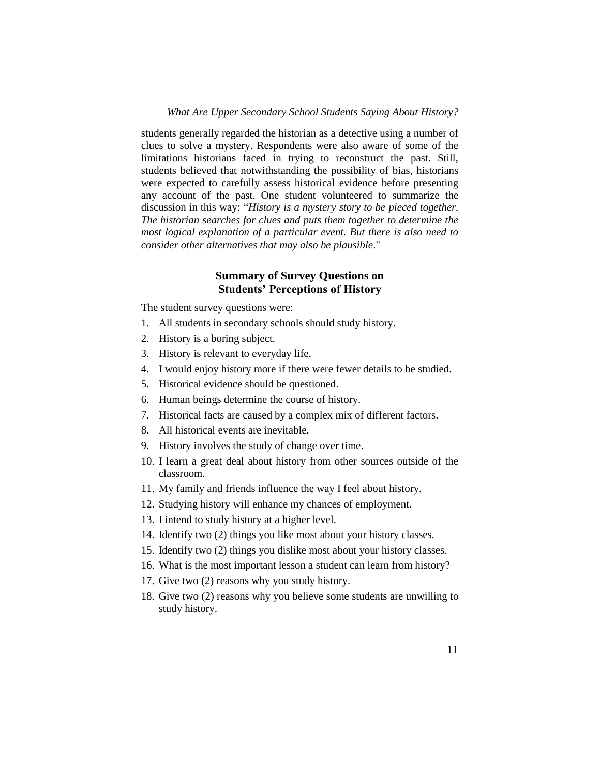students generally regarded the historian as a detective using a number of clues to solve a mystery. Respondents were also aware of some of the limitations historians faced in trying to reconstruct the past. Still, students believed that notwithstanding the possibility of bias, historians were expected to carefully assess historical evidence before presenting any account of the past. One student volunteered to summarize the discussion in this way: "History is a mystery story to be pieced together. *The historian searches for clues and puts them together to determine the most logical explanation of a particular event. But there is also need to consider other alternatives that may also be plausible*."

# **Summary of Survey Questions on Students' Perceptions of History**

The student survey questions were:

- 1. All students in secondary schools should study history.
- 2. History is a boring subject.
- 3. History is relevant to everyday life.
- 4. I would enjoy history more if there were fewer details to be studied.
- 5. Historical evidence should be questioned.
- 6. Human beings determine the course of history.
- 7. Historical facts are caused by a complex mix of different factors.
- 8. All historical events are inevitable.
- 9. History involves the study of change over time.
- 10. I learn a great deal about history from other sources outside of the classroom.
- 11. My family and friends influence the way I feel about history.
- 12. Studying history will enhance my chances of employment.
- 13. I intend to study history at a higher level.
- 14. Identify two (2) things you like most about your history classes.
- 15. Identify two (2) things you dislike most about your history classes.
- 16. What is the most important lesson a student can learn from history?
- 17. Give two (2) reasons why you study history.
- 18. Give two (2) reasons why you believe some students are unwilling to study history.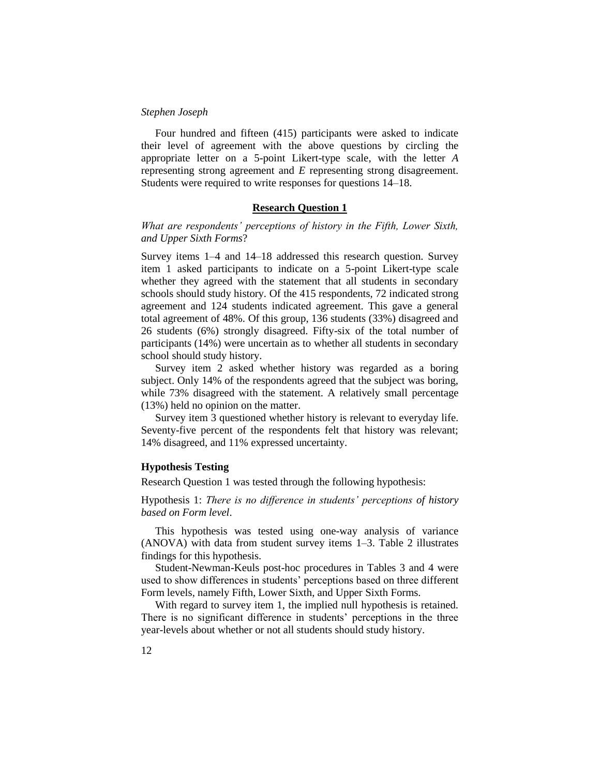Four hundred and fifteen (415) participants were asked to indicate their level of agreement with the above questions by circling the appropriate letter on a 5-point Likert-type scale, with the letter *A* representing strong agreement and *E* representing strong disagreement. Students were required to write responses for questions 14–18.

## **Research Question 1**

# *What are respondents' perceptions of history in the Fifth, Lower Sixth, and Upper Sixth Forms*?

Survey items 1–4 and 14–18 addressed this research question. Survey item 1 asked participants to indicate on a 5-point Likert-type scale whether they agreed with the statement that all students in secondary schools should study history. Of the 415 respondents, 72 indicated strong agreement and 124 students indicated agreement. This gave a general total agreement of 48%. Of this group, 136 students (33%) disagreed and 26 students (6%) strongly disagreed. Fifty-six of the total number of participants (14%) were uncertain as to whether all students in secondary school should study history.

Survey item 2 asked whether history was regarded as a boring subject. Only 14% of the respondents agreed that the subject was boring, while 73% disagreed with the statement. A relatively small percentage (13%) held no opinion on the matter.

Survey item 3 questioned whether history is relevant to everyday life. Seventy-five percent of the respondents felt that history was relevant; 14% disagreed, and 11% expressed uncertainty.

#### **Hypothesis Testing**

Research Question 1 was tested through the following hypothesis:

Hypothesis 1: *There is no difference in students' perceptions of history based on Form level*.

This hypothesis was tested using one-way analysis of variance (ANOVA) with data from student survey items 1–3. Table 2 illustrates findings for this hypothesis.

Student-Newman-Keuls post-hoc procedures in Tables 3 and 4 were used to show differences in students' perceptions based on three different Form levels, namely Fifth, Lower Sixth, and Upper Sixth Forms.

With regard to survey item 1, the implied null hypothesis is retained. There is no significant difference in students' perceptions in the three year-levels about whether or not all students should study history.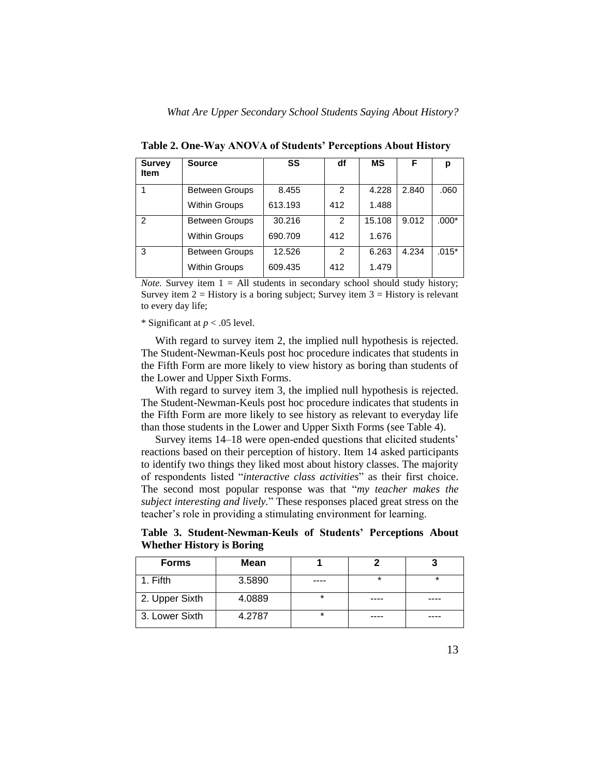| <b>Survey</b><br><b>Item</b> | <b>Source</b>         | SS      | df            | ΜS     | F     | р       |
|------------------------------|-----------------------|---------|---------------|--------|-------|---------|
|                              | <b>Between Groups</b> | 8.455   | $\mathcal{P}$ | 4.228  | 2.840 | .060    |
|                              | <b>Within Groups</b>  | 613.193 | 412           | 1.488  |       |         |
| $\overline{2}$               | <b>Between Groups</b> | 30.216  | 2             | 15.108 | 9.012 | $.000*$ |
|                              | <b>Within Groups</b>  | 690.709 | 412           | 1.676  |       |         |
| 3                            | <b>Between Groups</b> | 12.526  | 2             | 6.263  | 4.234 | $.015*$ |
|                              | <b>Within Groups</b>  | 609.435 | 412           | 1.479  |       |         |

**Table 2. One-Way ANOVA of Students' Perceptions About History**

*Note.* Survey item  $1 = All$  students in secondary school should study history; Survey item  $2 =$  History is a boring subject; Survey item  $3 =$  History is relevant to every day life;

### \* Significant at *p* < .05 level.

With regard to survey item 2, the implied null hypothesis is rejected. The Student-Newman-Keuls post hoc procedure indicates that students in the Fifth Form are more likely to view history as boring than students of the Lower and Upper Sixth Forms.

With regard to survey item 3, the implied null hypothesis is rejected. The Student-Newman-Keuls post hoc procedure indicates that students in the Fifth Form are more likely to see history as relevant to everyday life than those students in the Lower and Upper Sixth Forms (see Table 4).

Survey items 14–18 were open-ended questions that elicited students' reactions based on their perception of history. Item 14 asked participants to identify two things they liked most about history classes. The majority of respondents listed "interactive class activities" as their first choice. The second most popular response was that "*my teacher makes the subject interesting and lively.*‖ These responses placed great stress on the teacher's role in providing a stimulating environment for learning.

**Table 3. Student-Newman-Keuls of Students' Perceptions About Whether History is Boring**

| <b>Forms</b>   | <b>Mean</b> |         |         |         |
|----------------|-------------|---------|---------|---------|
| 1. Fifth       | 3.5890      |         | $\star$ | $\star$ |
| 2. Upper Sixth | 4.0889      | $\star$ | ----    | ----    |
| 3. Lower Sixth | 4.2787      | *       | ----    |         |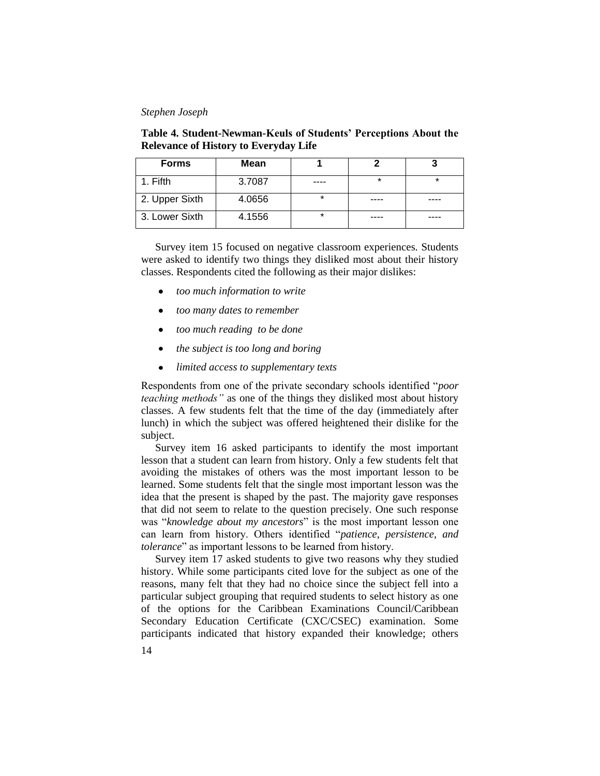**Table 4. Student-Newman-Keuls of Students' Perceptions About the Relevance of History to Everyday Life**

| <b>Forms</b>   | <b>Mean</b> |         |         |  |
|----------------|-------------|---------|---------|--|
| 1. Fifth       | 3.7087      | .       | $\star$ |  |
| 2. Upper Sixth | 4.0656      | *       | ----    |  |
| 3. Lower Sixth | 4.1556      | $\star$ |         |  |

Survey item 15 focused on negative classroom experiences. Students were asked to identify two things they disliked most about their history classes. Respondents cited the following as their major dislikes:

- *too much information to write*
- $\bullet$ *too many dates to remember*
- *too much reading to be done*  $\bullet$
- $\bullet$ *the subject is too long and boring*
- $\bullet$ *limited access to supplementary texts*

Respondents from one of the private secondary schools identified "*poor teaching methods"* as one of the things they disliked most about history classes. A few students felt that the time of the day (immediately after lunch) in which the subject was offered heightened their dislike for the subject.

Survey item 16 asked participants to identify the most important lesson that a student can learn from history. Only a few students felt that avoiding the mistakes of others was the most important lesson to be learned. Some students felt that the single most important lesson was the idea that the present is shaped by the past. The majority gave responses that did not seem to relate to the question precisely. One such response was "*knowledge about my ancestors*" is the most important lesson one can learn from history. Others identified "*patience*, *persistence*, *and tolerance*" as important lessons to be learned from history.

Survey item 17 asked students to give two reasons why they studied history. While some participants cited love for the subject as one of the reasons, many felt that they had no choice since the subject fell into a particular subject grouping that required students to select history as one of the options for the Caribbean Examinations Council/Caribbean Secondary Education Certificate (CXC/CSEC) examination. Some participants indicated that history expanded their knowledge; others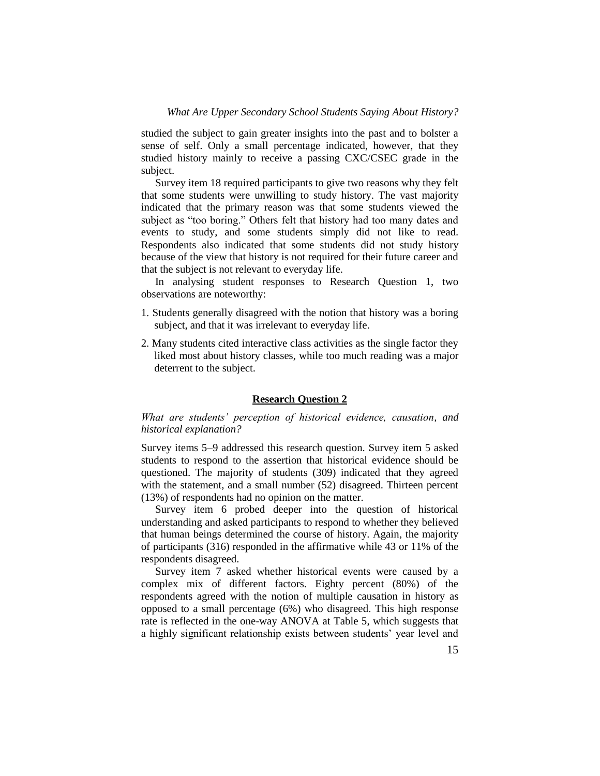studied the subject to gain greater insights into the past and to bolster a sense of self. Only a small percentage indicated, however, that they studied history mainly to receive a passing CXC/CSEC grade in the subject.

Survey item 18 required participants to give two reasons why they felt that some students were unwilling to study history. The vast majority indicated that the primary reason was that some students viewed the subject as "too boring." Others felt that history had too many dates and events to study, and some students simply did not like to read. Respondents also indicated that some students did not study history because of the view that history is not required for their future career and that the subject is not relevant to everyday life.

In analysing student responses to Research Question 1, two observations are noteworthy:

- 1. Students generally disagreed with the notion that history was a boring subject, and that it was irrelevant to everyday life.
- 2. Many students cited interactive class activities as the single factor they liked most about history classes, while too much reading was a major deterrent to the subject.

# **Research Question 2**

# *What are students' perception of historical evidence, causation, and historical explanation?*

Survey items 5–9 addressed this research question. Survey item 5 asked students to respond to the assertion that historical evidence should be questioned. The majority of students (309) indicated that they agreed with the statement, and a small number (52) disagreed. Thirteen percent (13%) of respondents had no opinion on the matter.

Survey item 6 probed deeper into the question of historical understanding and asked participants to respond to whether they believed that human beings determined the course of history. Again, the majority of participants (316) responded in the affirmative while 43 or 11% of the respondents disagreed.

Survey item 7 asked whether historical events were caused by a complex mix of different factors. Eighty percent (80%) of the respondents agreed with the notion of multiple causation in history as opposed to a small percentage (6%) who disagreed. This high response rate is reflected in the one-way ANOVA at Table 5, which suggests that a highly significant relationship exists between students' year level and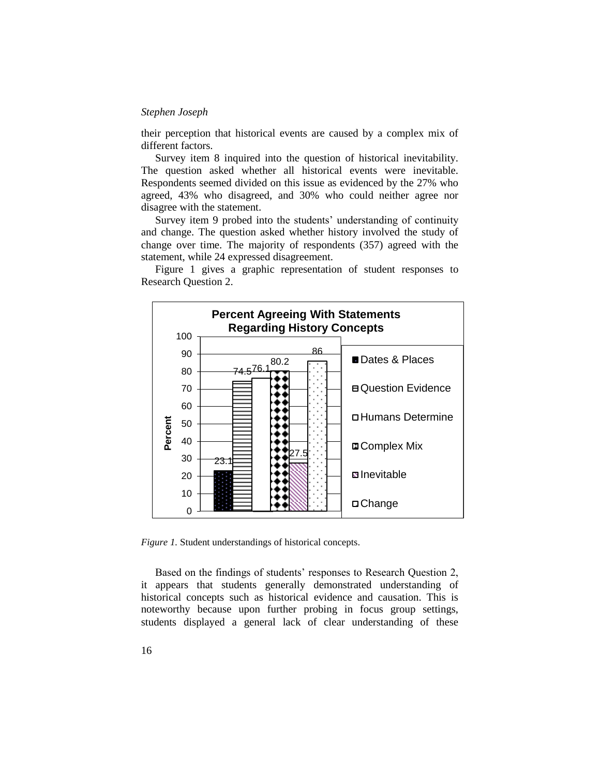their perception that historical events are caused by a complex mix of different factors.

Survey item 8 inquired into the question of historical inevitability. The question asked whether all historical events were inevitable. Respondents seemed divided on this issue as evidenced by the 27% who agreed, 43% who disagreed, and 30% who could neither agree nor disagree with the statement.

Survey item 9 probed into the students' understanding of continuity and change. The question asked whether history involved the study of change over time. The majority of respondents (357) agreed with the statement, while 24 expressed disagreement.



Figure 1 gives a graphic representation of student responses to Research Question 2.

*Figure 1.* Student understandings of historical concepts.

Based on the findings of students' responses to Research Question 2, it appears that students generally demonstrated understanding of historical concepts such as historical evidence and causation. This is noteworthy because upon further probing in focus group settings, students displayed a general lack of clear understanding of these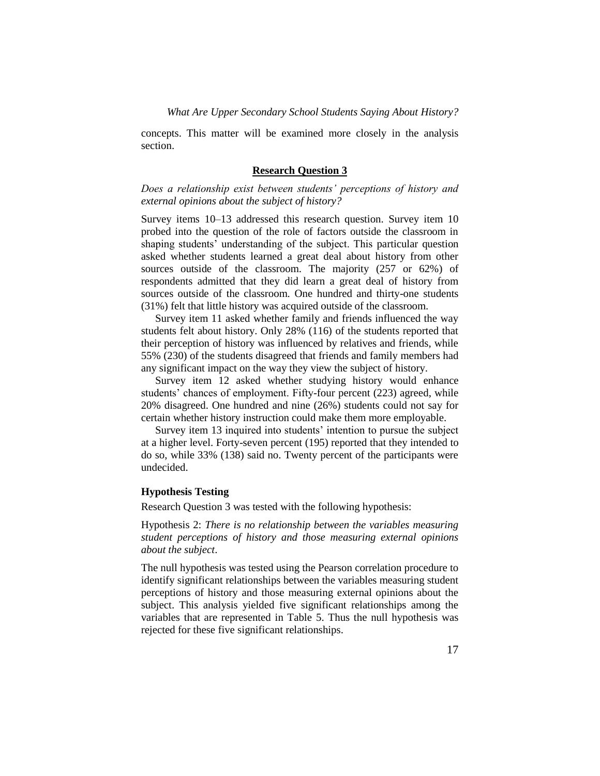concepts. This matter will be examined more closely in the analysis section.

#### **Research Question 3**

*Does a relationship exist between students' perceptions of history and external opinions about the subject of history?*

Survey items 10–13 addressed this research question. Survey item 10 probed into the question of the role of factors outside the classroom in shaping students' understanding of the subject. This particular question asked whether students learned a great deal about history from other sources outside of the classroom. The majority (257 or 62%) of respondents admitted that they did learn a great deal of history from sources outside of the classroom. One hundred and thirty-one students (31%) felt that little history was acquired outside of the classroom.

Survey item 11 asked whether family and friends influenced the way students felt about history. Only 28% (116) of the students reported that their perception of history was influenced by relatives and friends, while 55% (230) of the students disagreed that friends and family members had any significant impact on the way they view the subject of history.

Survey item 12 asked whether studying history would enhance students' chances of employment. Fifty-four percent (223) agreed, while 20% disagreed. One hundred and nine (26%) students could not say for certain whether history instruction could make them more employable.

Survey item 13 inquired into students' intention to pursue the subject at a higher level. Forty-seven percent (195) reported that they intended to do so, while 33% (138) said no. Twenty percent of the participants were undecided.

# **Hypothesis Testing**

Research Question 3 was tested with the following hypothesis:

Hypothesis 2: *There is no relationship between the variables measuring student perceptions of history and those measuring external opinions about the subject*.

The null hypothesis was tested using the Pearson correlation procedure to identify significant relationships between the variables measuring student perceptions of history and those measuring external opinions about the subject. This analysis yielded five significant relationships among the variables that are represented in Table 5. Thus the null hypothesis was rejected for these five significant relationships.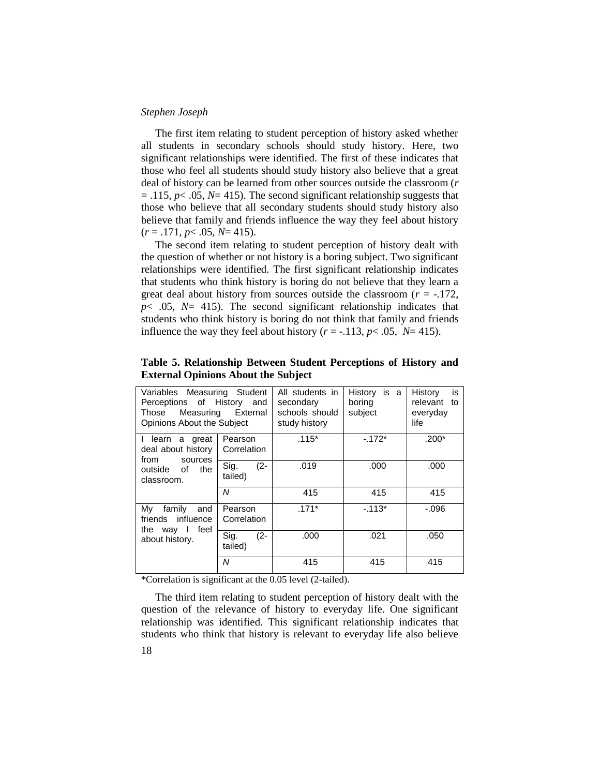The first item relating to student perception of history asked whether all students in secondary schools should study history. Here, two significant relationships were identified. The first of these indicates that those who feel all students should study history also believe that a great deal of history can be learned from other sources outside the classroom (*r*  $= .115$ ,  $p< .05$ ,  $N= 415$ ). The second significant relationship suggests that those who believe that all secondary students should study history also believe that family and friends influence the way they feel about history (*r* = .171, *p*< .05, *N*= 415).

The second item relating to student perception of history dealt with the question of whether or not history is a boring subject. Two significant relationships were identified. The first significant relationship indicates that students who think history is boring do not believe that they learn a great deal about history from sources outside the classroom  $(r = -.172, ...)$ *p*< .05, *N*= 415). The second significant relationship indicates that students who think history is boring do not think that family and friends influence the way they feel about history ( $r = -113$ ,  $p < .05$ ,  $N = 415$ ).

| Variables Measuring Student<br>Perceptions of History and<br>Those<br>Opinions About the Subject | Measuring External        | All students in<br>secondary<br>schools should<br>study history | History is a<br>boring<br>subject | History<br>is<br>relevant<br>to<br>everyday<br>life |
|--------------------------------------------------------------------------------------------------|---------------------------|-----------------------------------------------------------------|-----------------------------------|-----------------------------------------------------|
| I learn a great<br>deal about history<br>from<br>sources<br>outside of<br>the<br>classroom.      | Pearson<br>Correlation    | $.115*$                                                         | $-.172*$                          | $.200*$                                             |
|                                                                                                  | $(2 -$<br>Sig.<br>tailed) | .019                                                            | .000                              | .000                                                |
|                                                                                                  | N                         | 415                                                             | 415                               | 415                                                 |
| My<br>family<br>and<br>friends influence<br>feel<br>the way I<br>about history.                  | Pearson<br>Correlation    | $.171*$                                                         | $-113*$                           | $-.096$                                             |
|                                                                                                  | Sig.<br>$(2 -$<br>tailed) | .000                                                            | .021                              | .050                                                |
|                                                                                                  | N                         | 415                                                             | 415                               | 415                                                 |

**Table 5. Relationship Between Student Perceptions of History and External Opinions About the Subject**

\*Correlation is significant at the 0.05 level (2-tailed).

The third item relating to student perception of history dealt with the question of the relevance of history to everyday life. One significant relationship was identified. This significant relationship indicates that students who think that history is relevant to everyday life also believe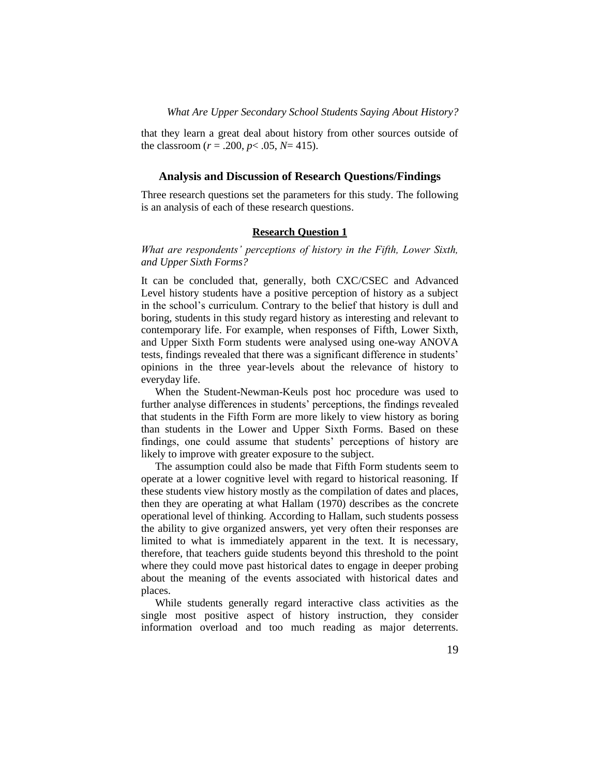that they learn a great deal about history from other sources outside of the classroom ( $r = .200$ ,  $p < .05$ ,  $N = 415$ ).

#### **Analysis and Discussion of Research Questions/Findings**

Three research questions set the parameters for this study. The following is an analysis of each of these research questions.

# **Research Question 1**

*What are respondents' perceptions of history in the Fifth, Lower Sixth, and Upper Sixth Forms?*

It can be concluded that, generally, both CXC/CSEC and Advanced Level history students have a positive perception of history as a subject in the school's curriculum. Contrary to the belief that history is dull and boring, students in this study regard history as interesting and relevant to contemporary life. For example, when responses of Fifth, Lower Sixth, and Upper Sixth Form students were analysed using one-way ANOVA tests, findings revealed that there was a significant difference in students' opinions in the three year-levels about the relevance of history to everyday life.

When the Student-Newman-Keuls post hoc procedure was used to further analyse differences in students' perceptions, the findings revealed that students in the Fifth Form are more likely to view history as boring than students in the Lower and Upper Sixth Forms. Based on these findings, one could assume that students' perceptions of history are likely to improve with greater exposure to the subject.

The assumption could also be made that Fifth Form students seem to operate at a lower cognitive level with regard to historical reasoning. If these students view history mostly as the compilation of dates and places, then they are operating at what Hallam (1970) describes as the concrete operational level of thinking. According to Hallam, such students possess the ability to give organized answers, yet very often their responses are limited to what is immediately apparent in the text. It is necessary, therefore, that teachers guide students beyond this threshold to the point where they could move past historical dates to engage in deeper probing about the meaning of the events associated with historical dates and places.

While students generally regard interactive class activities as the single most positive aspect of history instruction, they consider information overload and too much reading as major deterrents.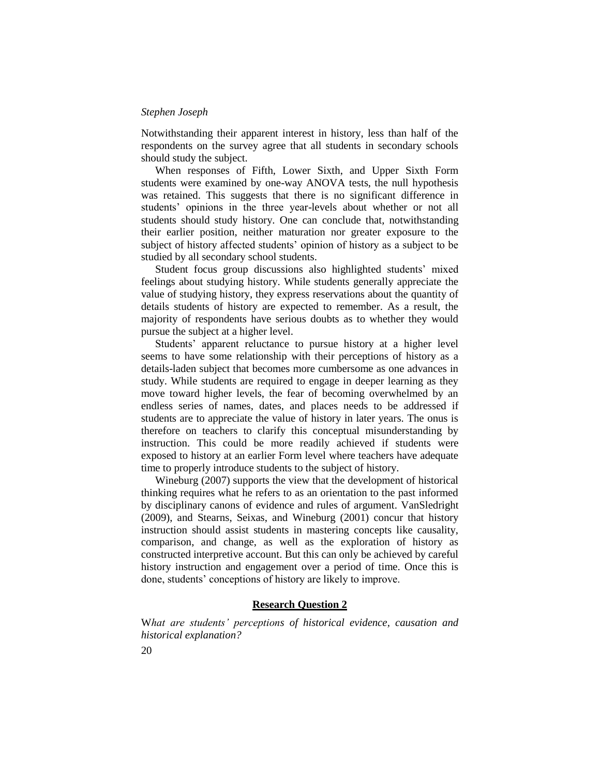Notwithstanding their apparent interest in history, less than half of the respondents on the survey agree that all students in secondary schools should study the subject.

When responses of Fifth, Lower Sixth, and Upper Sixth Form students were examined by one-way ANOVA tests, the null hypothesis was retained. This suggests that there is no significant difference in students' opinions in the three year-levels about whether or not all students should study history. One can conclude that, notwithstanding their earlier position, neither maturation nor greater exposure to the subject of history affected students' opinion of history as a subject to be studied by all secondary school students.

Student focus group discussions also highlighted students' mixed feelings about studying history. While students generally appreciate the value of studying history, they express reservations about the quantity of details students of history are expected to remember. As a result, the majority of respondents have serious doubts as to whether they would pursue the subject at a higher level.

Students' apparent reluctance to pursue history at a higher level seems to have some relationship with their perceptions of history as a details-laden subject that becomes more cumbersome as one advances in study. While students are required to engage in deeper learning as they move toward higher levels, the fear of becoming overwhelmed by an endless series of names, dates, and places needs to be addressed if students are to appreciate the value of history in later years. The onus is therefore on teachers to clarify this conceptual misunderstanding by instruction. This could be more readily achieved if students were exposed to history at an earlier Form level where teachers have adequate time to properly introduce students to the subject of history.

Wineburg (2007) supports the view that the development of historical thinking requires what he refers to as an orientation to the past informed by disciplinary canons of evidence and rules of argument. VanSledright (2009), and Stearns, Seixas, and Wineburg (2001) concur that history instruction should assist students in mastering concepts like causality, comparison, and change, as well as the exploration of history as constructed interpretive account. But this can only be achieved by careful history instruction and engagement over a period of time. Once this is done, students' conceptions of history are likely to improve.

## **Research Question 2**

W*hat are students' perceptions of historical evidence, causation and historical explanation?*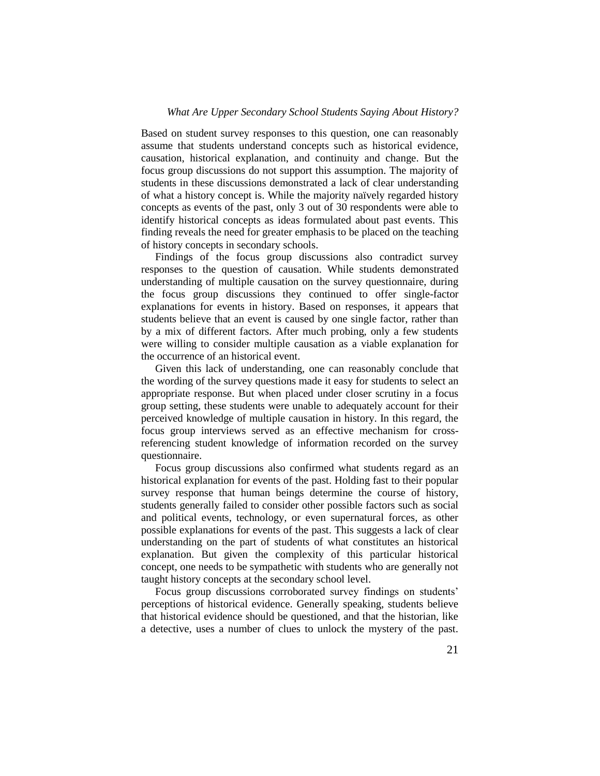Based on student survey responses to this question, one can reasonably assume that students understand concepts such as historical evidence, causation, historical explanation, and continuity and change. But the focus group discussions do not support this assumption. The majority of students in these discussions demonstrated a lack of clear understanding of what a history concept is. While the majority naïvely regarded history concepts as events of the past, only 3 out of 30 respondents were able to identify historical concepts as ideas formulated about past events. This finding reveals the need for greater emphasis to be placed on the teaching of history concepts in secondary schools.

Findings of the focus group discussions also contradict survey responses to the question of causation. While students demonstrated understanding of multiple causation on the survey questionnaire, during the focus group discussions they continued to offer single-factor explanations for events in history. Based on responses, it appears that students believe that an event is caused by one single factor, rather than by a mix of different factors. After much probing, only a few students were willing to consider multiple causation as a viable explanation for the occurrence of an historical event.

Given this lack of understanding, one can reasonably conclude that the wording of the survey questions made it easy for students to select an appropriate response. But when placed under closer scrutiny in a focus group setting, these students were unable to adequately account for their perceived knowledge of multiple causation in history. In this regard, the focus group interviews served as an effective mechanism for crossreferencing student knowledge of information recorded on the survey questionnaire.

Focus group discussions also confirmed what students regard as an historical explanation for events of the past. Holding fast to their popular survey response that human beings determine the course of history, students generally failed to consider other possible factors such as social and political events, technology, or even supernatural forces, as other possible explanations for events of the past. This suggests a lack of clear understanding on the part of students of what constitutes an historical explanation. But given the complexity of this particular historical concept, one needs to be sympathetic with students who are generally not taught history concepts at the secondary school level.

Focus group discussions corroborated survey findings on students' perceptions of historical evidence. Generally speaking, students believe that historical evidence should be questioned, and that the historian, like a detective, uses a number of clues to unlock the mystery of the past.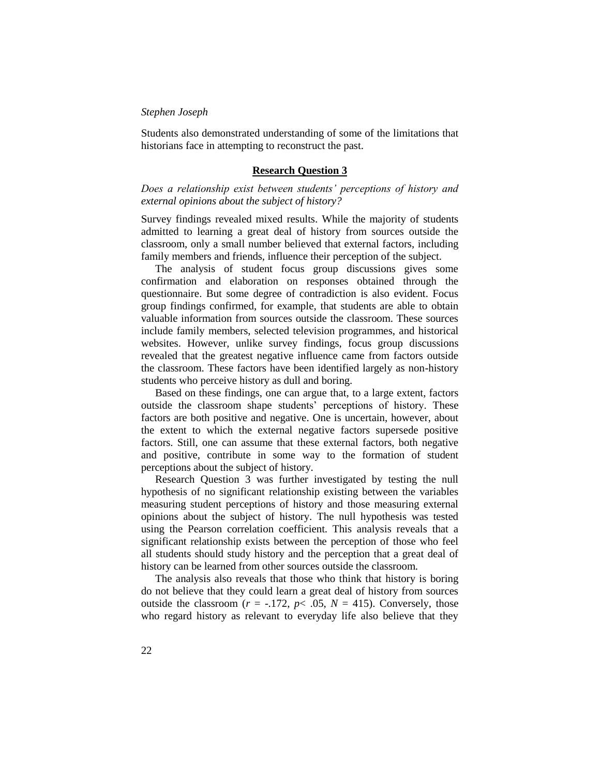Students also demonstrated understanding of some of the limitations that historians face in attempting to reconstruct the past.

#### **Research Question 3**

*Does a relationship exist between students' perceptions of history and external opinions about the subject of history?*

Survey findings revealed mixed results. While the majority of students admitted to learning a great deal of history from sources outside the classroom, only a small number believed that external factors, including family members and friends, influence their perception of the subject.

The analysis of student focus group discussions gives some confirmation and elaboration on responses obtained through the questionnaire. But some degree of contradiction is also evident. Focus group findings confirmed, for example, that students are able to obtain valuable information from sources outside the classroom. These sources include family members, selected television programmes, and historical websites. However, unlike survey findings, focus group discussions revealed that the greatest negative influence came from factors outside the classroom. These factors have been identified largely as non-history students who perceive history as dull and boring.

Based on these findings, one can argue that, to a large extent, factors outside the classroom shape students' perceptions of history. These factors are both positive and negative. One is uncertain, however, about the extent to which the external negative factors supersede positive factors. Still, one can assume that these external factors, both negative and positive, contribute in some way to the formation of student perceptions about the subject of history.

Research Question 3 was further investigated by testing the null hypothesis of no significant relationship existing between the variables measuring student perceptions of history and those measuring external opinions about the subject of history. The null hypothesis was tested using the Pearson correlation coefficient. This analysis reveals that a significant relationship exists between the perception of those who feel all students should study history and the perception that a great deal of history can be learned from other sources outside the classroom.

The analysis also reveals that those who think that history is boring do not believe that they could learn a great deal of history from sources outside the classroom ( $r = -.172$ ,  $p < .05$ ,  $N = 415$ ). Conversely, those who regard history as relevant to everyday life also believe that they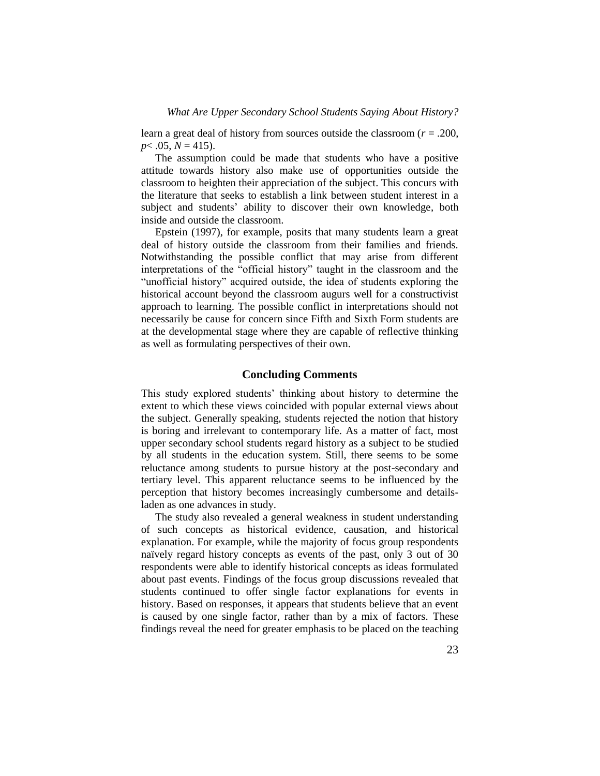learn a great deal of history from sources outside the classroom (*r* = .200,  $p<.05, N=415$ .

The assumption could be made that students who have a positive attitude towards history also make use of opportunities outside the classroom to heighten their appreciation of the subject. This concurs with the literature that seeks to establish a link between student interest in a subject and students' ability to discover their own knowledge, both inside and outside the classroom.

Epstein (1997), for example, posits that many students learn a great deal of history outside the classroom from their families and friends. Notwithstanding the possible conflict that may arise from different interpretations of the "official history" taught in the classroom and the ―unofficial history‖ acquired outside, the idea of students exploring the historical account beyond the classroom augurs well for a constructivist approach to learning. The possible conflict in interpretations should not necessarily be cause for concern since Fifth and Sixth Form students are at the developmental stage where they are capable of reflective thinking as well as formulating perspectives of their own.

# **Concluding Comments**

This study explored students' thinking about history to determine the extent to which these views coincided with popular external views about the subject. Generally speaking, students rejected the notion that history is boring and irrelevant to contemporary life. As a matter of fact, most upper secondary school students regard history as a subject to be studied by all students in the education system. Still, there seems to be some reluctance among students to pursue history at the post-secondary and tertiary level. This apparent reluctance seems to be influenced by the perception that history becomes increasingly cumbersome and detailsladen as one advances in study.

The study also revealed a general weakness in student understanding of such concepts as historical evidence, causation, and historical explanation. For example, while the majority of focus group respondents naïvely regard history concepts as events of the past, only 3 out of 30 respondents were able to identify historical concepts as ideas formulated about past events. Findings of the focus group discussions revealed that students continued to offer single factor explanations for events in history. Based on responses, it appears that students believe that an event is caused by one single factor, rather than by a mix of factors. These findings reveal the need for greater emphasis to be placed on the teaching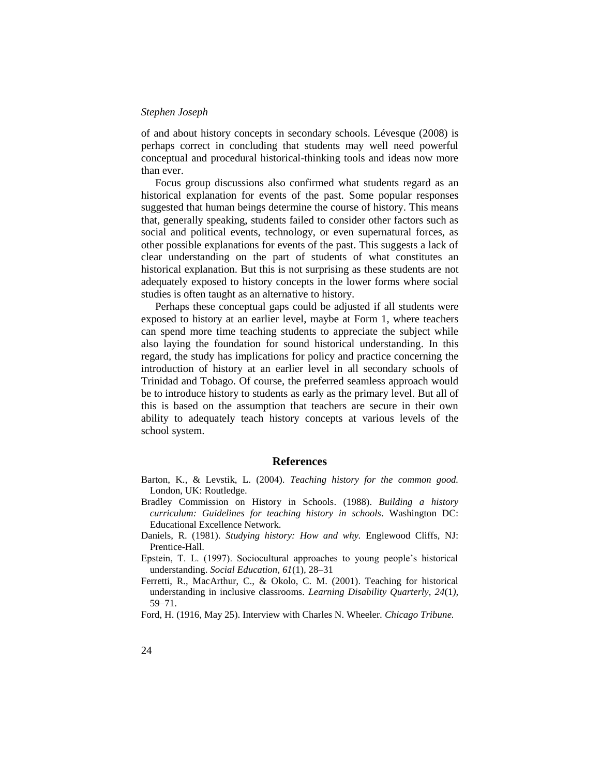of and about history concepts in secondary schools. Lévesque (2008) is perhaps correct in concluding that students may well need powerful conceptual and procedural historical-thinking tools and ideas now more than ever.

Focus group discussions also confirmed what students regard as an historical explanation for events of the past. Some popular responses suggested that human beings determine the course of history. This means that, generally speaking, students failed to consider other factors such as social and political events, technology, or even supernatural forces, as other possible explanations for events of the past. This suggests a lack of clear understanding on the part of students of what constitutes an historical explanation. But this is not surprising as these students are not adequately exposed to history concepts in the lower forms where social studies is often taught as an alternative to history.

Perhaps these conceptual gaps could be adjusted if all students were exposed to history at an earlier level, maybe at Form 1, where teachers can spend more time teaching students to appreciate the subject while also laying the foundation for sound historical understanding. In this regard, the study has implications for policy and practice concerning the introduction of history at an earlier level in all secondary schools of Trinidad and Tobago. Of course, the preferred seamless approach would be to introduce history to students as early as the primary level. But all of this is based on the assumption that teachers are secure in their own ability to adequately teach history concepts at various levels of the school system.

#### **References**

- Barton, K., & Levstik, L. (2004). *Teaching history for the common good.*  London, UK: Routledge.
- Bradley Commission on History in Schools. (1988). *Building a history curriculum: Guidelines for teaching history in schools*. Washington DC: Educational Excellence Network.
- Daniels, R. (1981). *Studying history: How and why.* Englewood Cliffs, NJ: Prentice-Hall.
- Epstein, T. L. (1997). Sociocultural approaches to young people's historical understanding. *Social Education, 61*(1)*,* 28–31
- Ferretti, R., MacArthur, C., & Okolo, C. M. (2001). Teaching for historical understanding in inclusive classrooms. *Learning Disability Quarterly, 24*(1*),*  59–71.
- Ford, H. (1916, May 25). Interview with Charles N. Wheeler*. Chicago Tribune.*